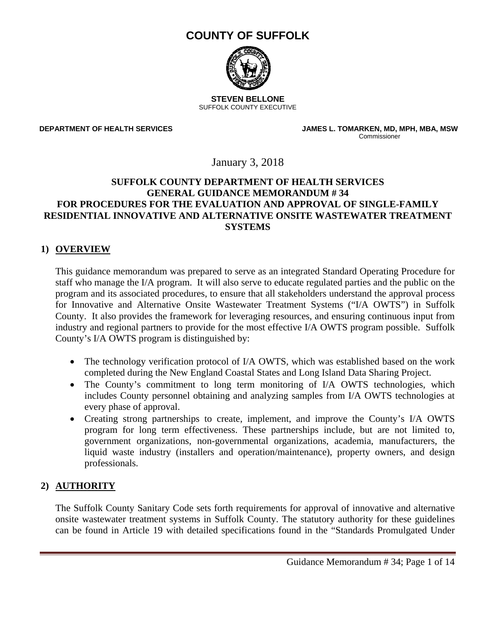# **COUNTY OF SUFFOLK**



**STEVEN BELLONE**  SUFFOLK COUNTY EXECUTIVE

**DEPARTMENT OF HEALTH SERVICES**

 **JAMES L. TOMARKEN, MD, MPH, MBA, MSW**  Commissioner

January 3, 2018

#### **SUFFOLK COUNTY DEPARTMENT OF HEALTH SERVICES GENERAL GUIDANCE MEMORANDUM # 34 FOR PROCEDURES FOR THE EVALUATION AND APPROVAL OF SINGLE-FAMILY RESIDENTIAL INNOVATIVE AND ALTERNATIVE ONSITE WASTEWATER TREATMENT SYSTEMS**

#### **1) OVERVIEW**

This guidance memorandum was prepared to serve as an integrated Standard Operating Procedure for staff who manage the I/A program. It will also serve to educate regulated parties and the public on the program and its associated procedures, to ensure that all stakeholders understand the approval process for Innovative and Alternative Onsite Wastewater Treatment Systems ("I/A OWTS") in Suffolk County. It also provides the framework for leveraging resources, and ensuring continuous input from industry and regional partners to provide for the most effective I/A OWTS program possible. Suffolk County's I/A OWTS program is distinguished by:

- The technology verification protocol of I/A OWTS, which was established based on the work completed during the New England Coastal States and Long Island Data Sharing Project.
- The County's commitment to long term monitoring of I/A OWTS technologies, which includes County personnel obtaining and analyzing samples from I/A OWTS technologies at every phase of approval.
- Creating strong partnerships to create, implement, and improve the County's I/A OWTS program for long term effectiveness. These partnerships include, but are not limited to, government organizations, non-governmental organizations, academia, manufacturers, the liquid waste industry (installers and operation/maintenance), property owners, and design professionals.

# **2) AUTHORITY**

The Suffolk County Sanitary Code sets forth requirements for approval of innovative and alternative onsite wastewater treatment systems in Suffolk County. The statutory authority for these guidelines can be found in Article 19 with detailed specifications found in the "Standards Promulgated Under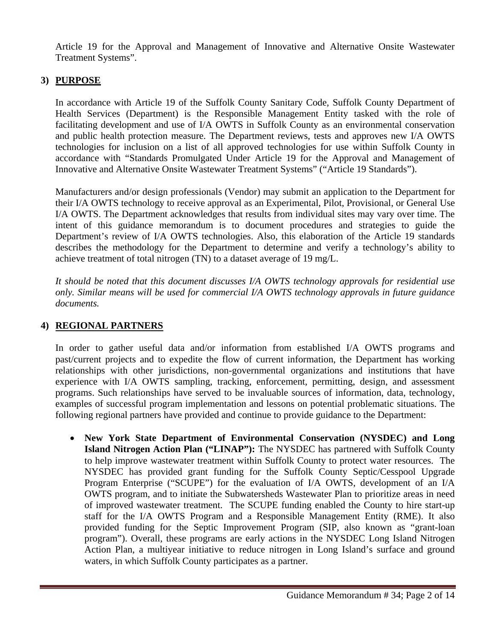Article 19 for the Approval and Management of Innovative and Alternative Onsite Wastewater Treatment Systems".

# **3) PURPOSE**

In accordance with Article 19 of the Suffolk County Sanitary Code, Suffolk County Department of Health Services (Department) is the Responsible Management Entity tasked with the role of facilitating development and use of I/A OWTS in Suffolk County as an environmental conservation and public health protection measure. The Department reviews, tests and approves new I/A OWTS technologies for inclusion on a list of all approved technologies for use within Suffolk County in accordance with "Standards Promulgated Under Article 19 for the Approval and Management of Innovative and Alternative Onsite Wastewater Treatment Systems" ("Article 19 Standards").

Manufacturers and/or design professionals (Vendor) may submit an application to the Department for their I/A OWTS technology to receive approval as an Experimental, Pilot, Provisional, or General Use I/A OWTS. The Department acknowledges that results from individual sites may vary over time. The intent of this guidance memorandum is to document procedures and strategies to guide the Department's review of I/A OWTS technologies. Also, this elaboration of the Article 19 standards describes the methodology for the Department to determine and verify a technology's ability to achieve treatment of total nitrogen (TN) to a dataset average of 19 mg/L.

*It should be noted that this document discusses I/A OWTS technology approvals for residential use only. Similar means will be used for commercial I/A OWTS technology approvals in future guidance documents.* 

# **4) REGIONAL PARTNERS**

In order to gather useful data and/or information from established I/A OWTS programs and past/current projects and to expedite the flow of current information, the Department has working relationships with other jurisdictions, non-governmental organizations and institutions that have experience with I/A OWTS sampling, tracking, enforcement, permitting, design, and assessment programs. Such relationships have served to be invaluable sources of information, data, technology, examples of successful program implementation and lessons on potential problematic situations. The following regional partners have provided and continue to provide guidance to the Department:

 **New York State Department of Environmental Conservation (NYSDEC) and Long Island Nitrogen Action Plan ("LINAP"):** The NYSDEC has partnered with Suffolk County to help improve wastewater treatment within Suffolk County to protect water resources. The NYSDEC has provided grant funding for the Suffolk County Septic/Cesspool Upgrade Program Enterprise ("SCUPE") for the evaluation of I/A OWTS, development of an I/A OWTS program, and to initiate the Subwatersheds Wastewater Plan to prioritize areas in need of improved wastewater treatment. The SCUPE funding enabled the County to hire start-up staff for the I/A OWTS Program and a Responsible Management Entity (RME). It also provided funding for the Septic Improvement Program (SIP, also known as "grant-loan program"). Overall, these programs are early actions in the NYSDEC Long Island Nitrogen Action Plan, a multiyear initiative to reduce nitrogen in Long Island's surface and ground waters, in which Suffolk County participates as a partner.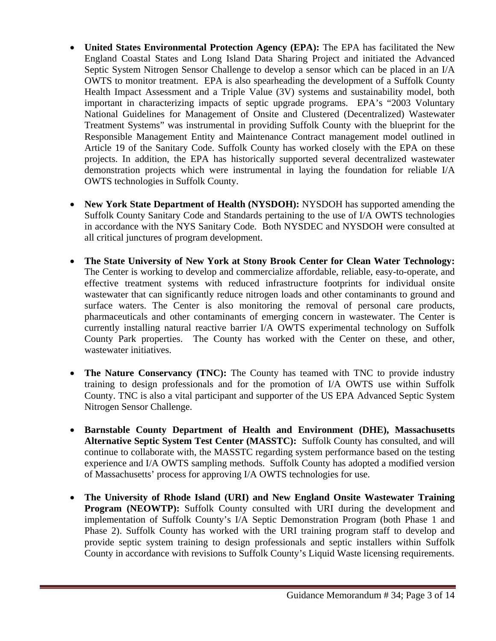- United States Environmental Protection Agency (EPA): The EPA has facilitated the New England Coastal States and Long Island Data Sharing Project and initiated the Advanced Septic System Nitrogen Sensor Challenge to develop a sensor which can be placed in an I/A OWTS to monitor treatment. EPA is also spearheading the development of a Suffolk County Health Impact Assessment and a Triple Value (3V) systems and sustainability model, both important in characterizing impacts of septic upgrade programs. EPA's "2003 Voluntary National Guidelines for Management of Onsite and Clustered (Decentralized) Wastewater Treatment Systems" was instrumental in providing Suffolk County with the blueprint for the Responsible Management Entity and Maintenance Contract management model outlined in Article 19 of the Sanitary Code. Suffolk County has worked closely with the EPA on these projects. In addition, the EPA has historically supported several decentralized wastewater demonstration projects which were instrumental in laying the foundation for reliable I/A OWTS technologies in Suffolk County.
- New York State Department of Health (NYSDOH): NYSDOH has supported amending the Suffolk County Sanitary Code and Standards pertaining to the use of I/A OWTS technologies in accordance with the NYS Sanitary Code. Both NYSDEC and NYSDOH were consulted at all critical junctures of program development.
- **The State University of New York at Stony Brook Center for Clean Water Technology:**  The Center is working to develop and commercialize affordable, reliable, easy-to-operate, and effective treatment systems with reduced infrastructure footprints for individual onsite wastewater that can significantly reduce nitrogen loads and other contaminants to ground and surface waters. The Center is also monitoring the removal of personal care products, pharmaceuticals and other contaminants of emerging concern in wastewater. The Center is currently installing natural reactive barrier I/A OWTS experimental technology on Suffolk County Park properties. The County has worked with the Center on these, and other, wastewater initiatives.
- The Nature Conservancy (TNC): The County has teamed with TNC to provide industry training to design professionals and for the promotion of I/A OWTS use within Suffolk County. TNC is also a vital participant and supporter of the US EPA Advanced Septic System Nitrogen Sensor Challenge.
- **Barnstable County Department of Health and Environment (DHE), Massachusetts Alternative Septic System Test Center (MASSTC):** Suffolk County has consulted, and will continue to collaborate with, the MASSTC regarding system performance based on the testing experience and I/A OWTS sampling methods. Suffolk County has adopted a modified version of Massachusetts' process for approving I/A OWTS technologies for use.
- **The University of Rhode Island (URI) and New England Onsite Wastewater Training Program (NEOWTP):** Suffolk County consulted with URI during the development and implementation of Suffolk County's I/A Septic Demonstration Program (both Phase 1 and Phase 2). Suffolk County has worked with the URI training program staff to develop and provide septic system training to design professionals and septic installers within Suffolk County in accordance with revisions to Suffolk County's Liquid Waste licensing requirements.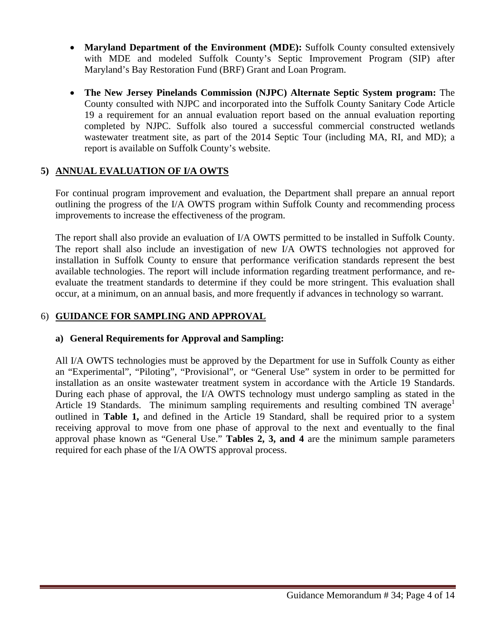- **Maryland Department of the Environment (MDE):** Suffolk County consulted extensively with MDE and modeled Suffolk County's Septic Improvement Program (SIP) after Maryland's Bay Restoration Fund (BRF) Grant and Loan Program.
- **The New Jersey Pinelands Commission (NJPC) Alternate Septic System program:** The County consulted with NJPC and incorporated into the Suffolk County Sanitary Code Article 19 a requirement for an annual evaluation report based on the annual evaluation reporting completed by NJPC. Suffolk also toured a successful commercial constructed wetlands wastewater treatment site, as part of the 2014 Septic Tour (including MA, RI, and MD); a report is available on Suffolk County's website.

### **5) ANNUAL EVALUATION OF I/A OWTS**

For continual program improvement and evaluation, the Department shall prepare an annual report outlining the progress of the I/A OWTS program within Suffolk County and recommending process improvements to increase the effectiveness of the program.

The report shall also provide an evaluation of I/A OWTS permitted to be installed in Suffolk County. The report shall also include an investigation of new I/A OWTS technologies not approved for installation in Suffolk County to ensure that performance verification standards represent the best available technologies. The report will include information regarding treatment performance, and reevaluate the treatment standards to determine if they could be more stringent. This evaluation shall occur, at a minimum, on an annual basis, and more frequently if advances in technology so warrant.

# 6) **GUIDANCE FOR SAMPLING AND APPROVAL**

# **a) General Requirements for Approval and Sampling:**

All I/A OWTS technologies must be approved by the Department for use in Suffolk County as either an "Experimental", "Piloting", "Provisional", or "General Use" system in order to be permitted for installation as an onsite wastewater treatment system in accordance with the Article 19 Standards. During each phase of approval, the I/A OWTS technology must undergo sampling as stated in the Article 19 Standards. The minimum sampling requirements and resulting combined TN average<sup>1</sup> outlined in **Table 1,** and defined in the Article 19 Standard, shall be required prior to a system receiving approval to move from one phase of approval to the next and eventually to the final approval phase known as "General Use." **Tables 2, 3, and 4** are the minimum sample parameters required for each phase of the I/A OWTS approval process.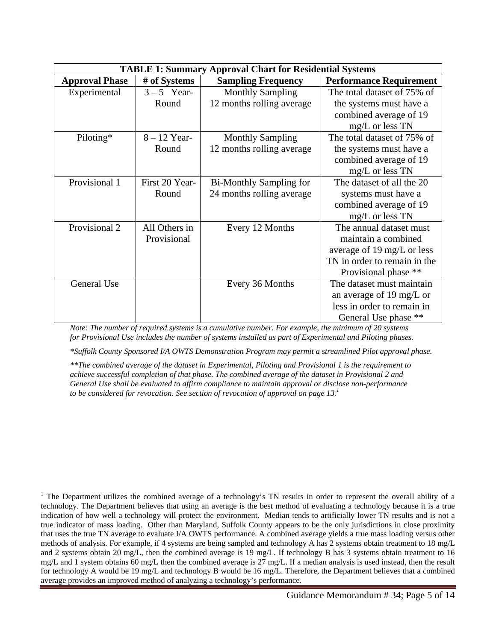| <b>TABLE 1: Summary Approval Chart for Residential Systems</b> |                |                                |                                |  |  |
|----------------------------------------------------------------|----------------|--------------------------------|--------------------------------|--|--|
| <b>Approval Phase</b>                                          | # of Systems   | <b>Sampling Frequency</b>      | <b>Performance Requirement</b> |  |  |
| Experimental                                                   | $3-5$ Year-    | <b>Monthly Sampling</b>        | The total dataset of 75% of    |  |  |
|                                                                | Round          | 12 months rolling average      | the systems must have a        |  |  |
|                                                                |                |                                | combined average of 19         |  |  |
|                                                                |                |                                | $mg/L$ or less TN              |  |  |
| Piloting*                                                      | $8 - 12$ Year- | <b>Monthly Sampling</b>        | The total dataset of 75% of    |  |  |
|                                                                | Round          | 12 months rolling average      | the systems must have a        |  |  |
|                                                                |                |                                | combined average of 19         |  |  |
|                                                                |                |                                | mg/L or less TN                |  |  |
| Provisional 1                                                  | First 20 Year- | <b>Bi-Monthly Sampling for</b> | The dataset of all the 20      |  |  |
|                                                                | Round          | 24 months rolling average      | systems must have a            |  |  |
|                                                                |                |                                | combined average of 19         |  |  |
|                                                                |                |                                | mg/L or less TN                |  |  |
| Provisional 2                                                  | All Others in  | Every 12 Months                | The annual dataset must        |  |  |
|                                                                | Provisional    |                                | maintain a combined            |  |  |
|                                                                |                |                                | average of 19 mg/L or less     |  |  |
|                                                                |                |                                | TN in order to remain in the   |  |  |
|                                                                |                |                                | Provisional phase **           |  |  |
| General Use                                                    |                | Every 36 Months                | The dataset must maintain      |  |  |
|                                                                |                |                                | an average of 19 mg/L or       |  |  |
|                                                                |                |                                | less in order to remain in     |  |  |
|                                                                |                |                                | General Use phase **           |  |  |

*Note: The number of required systems is a cumulative number. For example, the minimum of 20 systems for Provisional Use includes the number of systems installed as part of Experimental and Piloting phases.* 

*\*Suffolk County Sponsored I/A OWTS Demonstration Program may permit a streamlined Pilot approval phase.* 

*\*\*The combined average of the dataset in Experimental, Piloting and Provisional 1 is the requirement to achieve successful completion of that phase. The combined average of the dataset in Provisional 2 and General Use shall be evaluated to affirm compliance to maintain approval or disclose non-performance to be considered for revocation. See section of revocation of approval on page 13.1*

<sup>1</sup> The Department utilizes the combined average of a technology's TN results in order to represent the overall ability of a technology. The Department believes that using an average is the best method of evaluating a technology because it is a true indication of how well a technology will protect the environment. Median tends to artificially lower TN results and is not a true indicator of mass loading. Other than Maryland, Suffolk County appears to be the only jurisdictions in close proximity that uses the true TN average to evaluate I/A OWTS performance. A combined average yields a true mass loading versus other methods of analysis. For example, if 4 systems are being sampled and technology A has 2 systems obtain treatment to 18 mg/L and 2 systems obtain 20 mg/L, then the combined average is 19 mg/L. If technology B has 3 systems obtain treatment to 16 mg/L and 1 system obtains 60 mg/L then the combined average is 27 mg/L. If a median analysis is used instead, then the result for technology A would be 19 mg/L and technology B would be 16 mg/L. Therefore, the Department believes that a combined average provides an improved method of analyzing a technology's performance.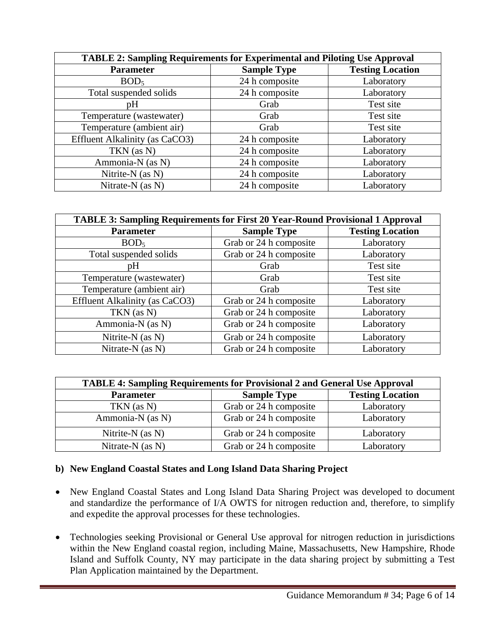| <b>TABLE 2: Sampling Requirements for Experimental and Piloting Use Approval</b> |                    |                         |  |  |
|----------------------------------------------------------------------------------|--------------------|-------------------------|--|--|
| <b>Parameter</b>                                                                 | <b>Sample Type</b> | <b>Testing Location</b> |  |  |
| BOD <sub>5</sub>                                                                 | 24 h composite     | Laboratory              |  |  |
| Total suspended solids                                                           | 24 h composite     | Laboratory              |  |  |
| pH                                                                               | Grab               | Test site               |  |  |
| Temperature (wastewater)                                                         | Grab               | Test site               |  |  |
| Temperature (ambient air)                                                        | Grab               | Test site               |  |  |
| Effluent Alkalinity (as CaCO3)                                                   | 24 h composite     | Laboratory              |  |  |
| TKN (as N)                                                                       | 24 h composite     | Laboratory              |  |  |
| Ammonia-N (as N)                                                                 | 24 h composite     | Laboratory              |  |  |
| Nitrite- $N$ (as $N$ )                                                           | 24 h composite     | Laboratory              |  |  |
| Nitrate-N (as N)                                                                 | 24 h composite     | Laboratory              |  |  |

| TABLE 3: Sampling Requirements for First 20 Year-Round Provisional 1 Approval |                        |                         |  |  |
|-------------------------------------------------------------------------------|------------------------|-------------------------|--|--|
| <b>Parameter</b>                                                              | <b>Sample Type</b>     | <b>Testing Location</b> |  |  |
| BOD <sub>5</sub>                                                              | Grab or 24 h composite | Laboratory              |  |  |
| Total suspended solids                                                        | Grab or 24 h composite | Laboratory              |  |  |
| pΗ                                                                            | Grab                   | Test site               |  |  |
| Temperature (wastewater)                                                      | Grab                   | Test site               |  |  |
| Temperature (ambient air)                                                     | Grab                   | Test site               |  |  |
| Effluent Alkalinity (as CaCO3)                                                | Grab or 24 h composite | Laboratory              |  |  |
| TKN (as N)                                                                    | Grab or 24 h composite | Laboratory              |  |  |
| Ammonia-N (as N)                                                              | Grab or 24 h composite | Laboratory              |  |  |
| Nitrite-N (as N)                                                              | Grab or 24 h composite | Laboratory              |  |  |
| Nitrate-N (as N)                                                              | Grab or 24 h composite | Laboratory              |  |  |

| <b>TABLE 4: Sampling Requirements for Provisional 2 and General Use Approval</b> |                        |                         |  |  |
|----------------------------------------------------------------------------------|------------------------|-------------------------|--|--|
| <b>Parameter</b>                                                                 | <b>Sample Type</b>     | <b>Testing Location</b> |  |  |
| $TKN$ (as N)                                                                     | Grab or 24 h composite | Laboratory              |  |  |
| Ammonia-N (as N)                                                                 | Grab or 24 h composite | Laboratory              |  |  |
| Nitrite- $N$ (as $N$ )                                                           | Grab or 24 h composite | Laboratory              |  |  |
| Nitrate- $N$ (as $N$ )                                                           | Grab or 24 h composite | Laboratory              |  |  |

#### **b) New England Coastal States and Long Island Data Sharing Project**

- New England Coastal States and Long Island Data Sharing Project was developed to document and standardize the performance of I/A OWTS for nitrogen reduction and, therefore, to simplify and expedite the approval processes for these technologies.
- Technologies seeking Provisional or General Use approval for nitrogen reduction in jurisdictions within the New England coastal region, including Maine, Massachusetts, New Hampshire, Rhode Island and Suffolk County, NY may participate in the data sharing project by submitting a Test Plan Application maintained by the Department.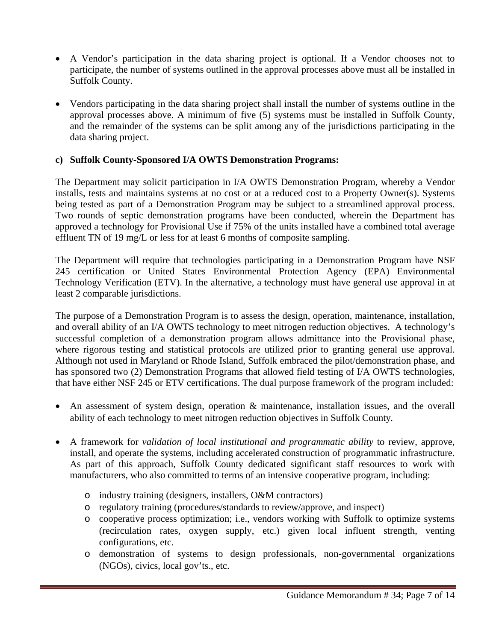- A Vendor's participation in the data sharing project is optional. If a Vendor chooses not to participate, the number of systems outlined in the approval processes above must all be installed in Suffolk County.
- Vendors participating in the data sharing project shall install the number of systems outline in the approval processes above. A minimum of five (5) systems must be installed in Suffolk County, and the remainder of the systems can be split among any of the jurisdictions participating in the data sharing project.

# **c) Suffolk County-Sponsored I/A OWTS Demonstration Programs:**

The Department may solicit participation in I/A OWTS Demonstration Program, whereby a Vendor installs, tests and maintains systems at no cost or at a reduced cost to a Property Owner(s). Systems being tested as part of a Demonstration Program may be subject to a streamlined approval process. Two rounds of septic demonstration programs have been conducted, wherein the Department has approved a technology for Provisional Use if 75% of the units installed have a combined total average effluent TN of 19 mg/L or less for at least 6 months of composite sampling.

The Department will require that technologies participating in a Demonstration Program have NSF 245 certification or United States Environmental Protection Agency (EPA) Environmental Technology Verification (ETV). In the alternative, a technology must have general use approval in at least 2 comparable jurisdictions.

The purpose of a Demonstration Program is to assess the design, operation, maintenance, installation, and overall ability of an I/A OWTS technology to meet nitrogen reduction objectives. A technology's successful completion of a demonstration program allows admittance into the Provisional phase, where rigorous testing and statistical protocols are utilized prior to granting general use approval. Although not used in Maryland or Rhode Island, Suffolk embraced the pilot/demonstration phase, and has sponsored two (2) Demonstration Programs that allowed field testing of I/A OWTS technologies, that have either NSF 245 or ETV certifications. The dual purpose framework of the program included:

- An assessment of system design, operation & maintenance, installation issues, and the overall ability of each technology to meet nitrogen reduction objectives in Suffolk County*.*
- A framework for *validation of local institutional and programmatic ability* to review, approve, install, and operate the systems, including accelerated construction of programmatic infrastructure. As part of this approach, Suffolk County dedicated significant staff resources to work with manufacturers, who also committed to terms of an intensive cooperative program, including:
	- o industry training (designers, installers, O&M contractors)
	- o regulatory training (procedures/standards to review/approve, and inspect)
	- o cooperative process optimization; i.e., vendors working with Suffolk to optimize systems (recirculation rates, oxygen supply, etc.) given local influent strength, venting configurations, etc.
	- o demonstration of systems to design professionals, non-governmental organizations (NGOs), civics, local gov'ts., etc.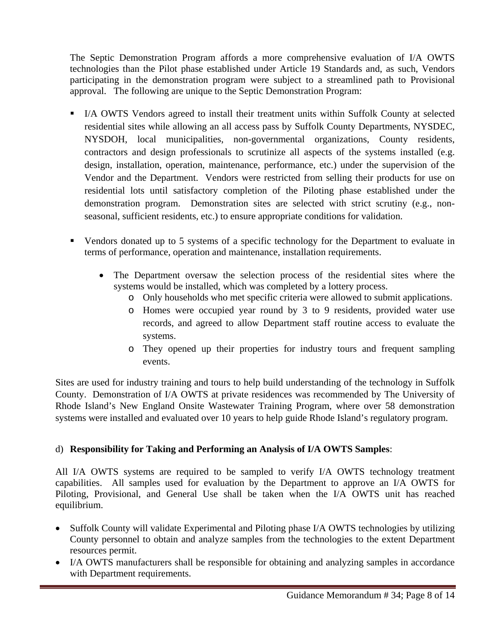The Septic Demonstration Program affords a more comprehensive evaluation of I/A OWTS technologies than the Pilot phase established under Article 19 Standards and, as such, Vendors participating in the demonstration program were subject to a streamlined path to Provisional approval. The following are unique to the Septic Demonstration Program:

- I/A OWTS Vendors agreed to install their treatment units within Suffolk County at selected residential sites while allowing an all access pass by Suffolk County Departments, NYSDEC, NYSDOH, local municipalities, non-governmental organizations, County residents, contractors and design professionals to scrutinize all aspects of the systems installed (e.g. design, installation, operation, maintenance, performance, etc.) under the supervision of the Vendor and the Department. Vendors were restricted from selling their products for use on residential lots until satisfactory completion of the Piloting phase established under the demonstration program. Demonstration sites are selected with strict scrutiny (e.g., nonseasonal, sufficient residents, etc.) to ensure appropriate conditions for validation.
- Vendors donated up to 5 systems of a specific technology for the Department to evaluate in terms of performance, operation and maintenance, installation requirements.
	- The Department oversaw the selection process of the residential sites where the systems would be installed, which was completed by a lottery process.
		- o Only households who met specific criteria were allowed to submit applications.
		- o Homes were occupied year round by 3 to 9 residents, provided water use records, and agreed to allow Department staff routine access to evaluate the systems.
		- o They opened up their properties for industry tours and frequent sampling events.

Sites are used for industry training and tours to help build understanding of the technology in Suffolk County. Demonstration of I/A OWTS at private residences was recommended by The University of Rhode Island's New England Onsite Wastewater Training Program, where over 58 demonstration systems were installed and evaluated over 10 years to help guide Rhode Island's regulatory program.

#### d) **Responsibility for Taking and Performing an Analysis of I/A OWTS Samples**:

All I/A OWTS systems are required to be sampled to verify I/A OWTS technology treatment capabilities. All samples used for evaluation by the Department to approve an I/A OWTS for Piloting, Provisional, and General Use shall be taken when the I/A OWTS unit has reached equilibrium.

- Suffolk County will validate Experimental and Piloting phase I/A OWTS technologies by utilizing County personnel to obtain and analyze samples from the technologies to the extent Department resources permit.
- I/A OWTS manufacturers shall be responsible for obtaining and analyzing samples in accordance with Department requirements.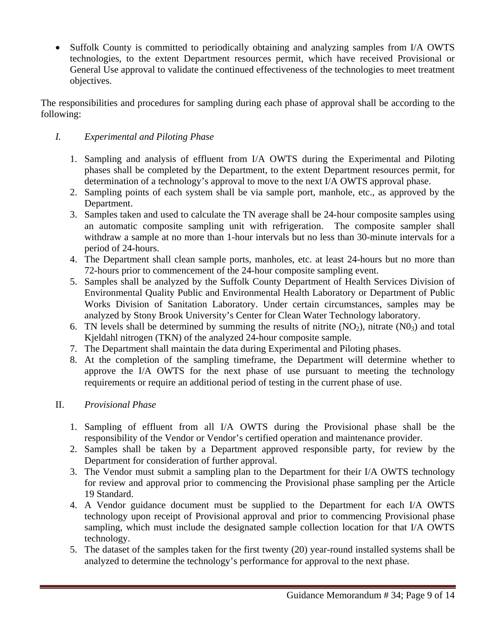• Suffolk County is committed to periodically obtaining and analyzing samples from I/A OWTS technologies, to the extent Department resources permit, which have received Provisional or General Use approval to validate the continued effectiveness of the technologies to meet treatment objectives.

The responsibilities and procedures for sampling during each phase of approval shall be according to the following:

# *I. Experimental and Piloting Phase*

- 1. Sampling and analysis of effluent from I/A OWTS during the Experimental and Piloting phases shall be completed by the Department, to the extent Department resources permit, for determination of a technology's approval to move to the next I/A OWTS approval phase.
- 2. Sampling points of each system shall be via sample port, manhole, etc., as approved by the Department.
- 3. Samples taken and used to calculate the TN average shall be 24-hour composite samples using an automatic composite sampling unit with refrigeration. The composite sampler shall withdraw a sample at no more than 1-hour intervals but no less than 30-minute intervals for a period of 24-hours.
- 4. The Department shall clean sample ports, manholes, etc. at least 24-hours but no more than 72-hours prior to commencement of the 24-hour composite sampling event.
- 5. Samples shall be analyzed by the Suffolk County Department of Health Services Division of Environmental Quality Public and Environmental Health Laboratory or Department of Public Works Division of Sanitation Laboratory. Under certain circumstances, samples may be analyzed by Stony Brook University's Center for Clean Water Technology laboratory.
- 6. TN levels shall be determined by summing the results of nitrite  $(NO<sub>2</sub>)$ , nitrate  $(NO<sub>3</sub>)$  and total Kjeldahl nitrogen (TKN) of the analyzed 24-hour composite sample.
- 7. The Department shall maintain the data during Experimental and Piloting phases.
- 8. At the completion of the sampling timeframe, the Department will determine whether to approve the I/A OWTS for the next phase of use pursuant to meeting the technology requirements or require an additional period of testing in the current phase of use.

# II. *Provisional Phase*

- 1. Sampling of effluent from all I/A OWTS during the Provisional phase shall be the responsibility of the Vendor or Vendor's certified operation and maintenance provider.
- 2. Samples shall be taken by a Department approved responsible party, for review by the Department for consideration of further approval.
- 3. The Vendor must submit a sampling plan to the Department for their I/A OWTS technology for review and approval prior to commencing the Provisional phase sampling per the Article 19 Standard.
- 4. A Vendor guidance document must be supplied to the Department for each I/A OWTS technology upon receipt of Provisional approval and prior to commencing Provisional phase sampling, which must include the designated sample collection location for that I/A OWTS technology.
- 5. The dataset of the samples taken for the first twenty (20) year-round installed systems shall be analyzed to determine the technology's performance for approval to the next phase.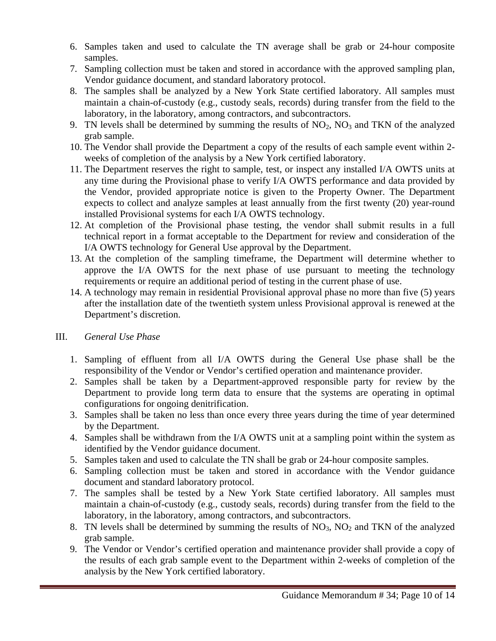- 6. Samples taken and used to calculate the TN average shall be grab or 24-hour composite samples.
- 7. Sampling collection must be taken and stored in accordance with the approved sampling plan, Vendor guidance document, and standard laboratory protocol.
- 8. The samples shall be analyzed by a New York State certified laboratory. All samples must maintain a chain-of-custody (e.g., custody seals, records) during transfer from the field to the laboratory, in the laboratory, among contractors, and subcontractors.
- 9. TN levels shall be determined by summing the results of  $NO<sub>2</sub>$ ,  $NO<sub>3</sub>$  and TKN of the analyzed grab sample.
- 10. The Vendor shall provide the Department a copy of the results of each sample event within 2 weeks of completion of the analysis by a New York certified laboratory.
- 11. The Department reserves the right to sample, test, or inspect any installed I/A OWTS units at any time during the Provisional phase to verify I/A OWTS performance and data provided by the Vendor, provided appropriate notice is given to the Property Owner. The Department expects to collect and analyze samples at least annually from the first twenty (20) year-round installed Provisional systems for each I/A OWTS technology.
- 12. At completion of the Provisional phase testing, the vendor shall submit results in a full technical report in a format acceptable to the Department for review and consideration of the I/A OWTS technology for General Use approval by the Department.
- 13. At the completion of the sampling timeframe, the Department will determine whether to approve the I/A OWTS for the next phase of use pursuant to meeting the technology requirements or require an additional period of testing in the current phase of use.
- 14. A technology may remain in residential Provisional approval phase no more than five (5) years after the installation date of the twentieth system unless Provisional approval is renewed at the Department's discretion.

#### III. *General Use Phase*

- 1. Sampling of effluent from all I/A OWTS during the General Use phase shall be the responsibility of the Vendor or Vendor's certified operation and maintenance provider.
- 2. Samples shall be taken by a Department-approved responsible party for review by the Department to provide long term data to ensure that the systems are operating in optimal configurations for ongoing denitrification.
- 3. Samples shall be taken no less than once every three years during the time of year determined by the Department.
- 4. Samples shall be withdrawn from the I/A OWTS unit at a sampling point within the system as identified by the Vendor guidance document.
- 5. Samples taken and used to calculate the TN shall be grab or 24-hour composite samples.
- 6. Sampling collection must be taken and stored in accordance with the Vendor guidance document and standard laboratory protocol.
- 7. The samples shall be tested by a New York State certified laboratory. All samples must maintain a chain-of-custody (e.g., custody seals, records) during transfer from the field to the laboratory, in the laboratory, among contractors, and subcontractors.
- 8. TN levels shall be determined by summing the results of  $NO<sub>3</sub>$ ,  $NO<sub>2</sub>$  and TKN of the analyzed grab sample.
- 9. The Vendor or Vendor's certified operation and maintenance provider shall provide a copy of the results of each grab sample event to the Department within 2-weeks of completion of the analysis by the New York certified laboratory.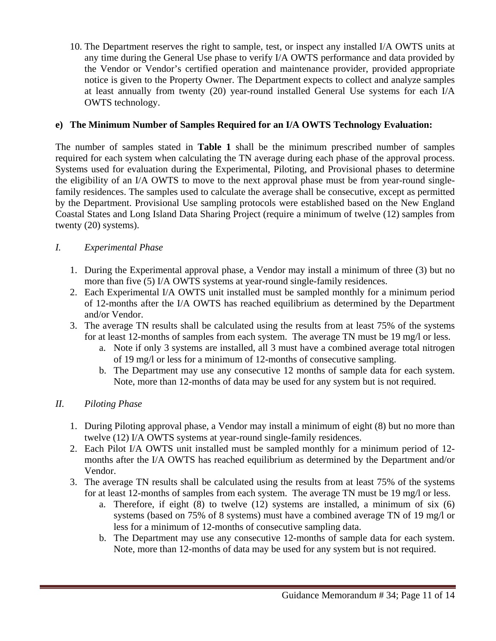10. The Department reserves the right to sample, test, or inspect any installed I/A OWTS units at any time during the General Use phase to verify I/A OWTS performance and data provided by the Vendor or Vendor's certified operation and maintenance provider, provided appropriate notice is given to the Property Owner. The Department expects to collect and analyze samples at least annually from twenty (20) year-round installed General Use systems for each I/A OWTS technology.

### **e) The Minimum Number of Samples Required for an I/A OWTS Technology Evaluation:**

The number of samples stated in **Table 1** shall be the minimum prescribed number of samples required for each system when calculating the TN average during each phase of the approval process. Systems used for evaluation during the Experimental, Piloting, and Provisional phases to determine the eligibility of an I/A OWTS to move to the next approval phase must be from year-round singlefamily residences. The samples used to calculate the average shall be consecutive, except as permitted by the Department. Provisional Use sampling protocols were established based on the New England Coastal States and Long Island Data Sharing Project (require a minimum of twelve (12) samples from twenty (20) systems).

# *I. Experimental Phase*

- 1. During the Experimental approval phase, a Vendor may install a minimum of three (3) but no more than five (5) I/A OWTS systems at year-round single-family residences.
- 2. Each Experimental I/A OWTS unit installed must be sampled monthly for a minimum period of 12-months after the I/A OWTS has reached equilibrium as determined by the Department and/or Vendor.
- 3. The average TN results shall be calculated using the results from at least 75% of the systems for at least 12-months of samples from each system. The average TN must be 19 mg/l or less.
	- a. Note if only 3 systems are installed, all 3 must have a combined average total nitrogen of 19 mg/l or less for a minimum of 12-months of consecutive sampling.
	- b. The Department may use any consecutive 12 months of sample data for each system. Note, more than 12-months of data may be used for any system but is not required.

# *II. Piloting Phase*

- 1. During Piloting approval phase, a Vendor may install a minimum of eight (8) but no more than twelve (12) I/A OWTS systems at year-round single-family residences.
- 2. Each Pilot I/A OWTS unit installed must be sampled monthly for a minimum period of 12 months after the I/A OWTS has reached equilibrium as determined by the Department and/or Vendor.
- 3. The average TN results shall be calculated using the results from at least 75% of the systems for at least 12-months of samples from each system. The average TN must be 19 mg/l or less.
	- a. Therefore, if eight (8) to twelve (12) systems are installed, a minimum of six (6) systems (based on 75% of 8 systems) must have a combined average TN of 19 mg/l or less for a minimum of 12-months of consecutive sampling data.
	- b. The Department may use any consecutive 12-months of sample data for each system. Note, more than 12-months of data may be used for any system but is not required.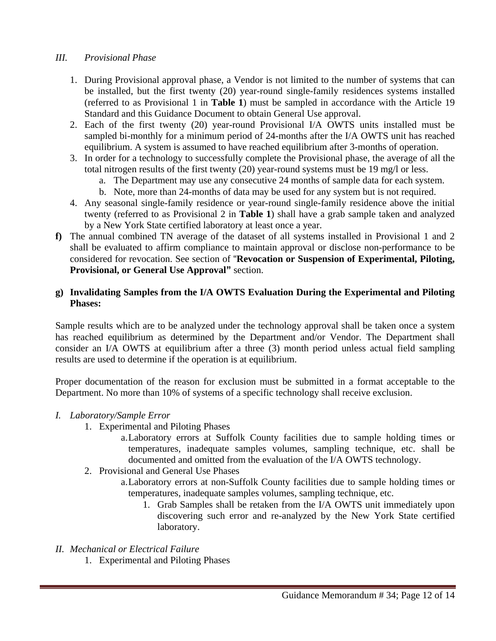### *III. Provisional Phase*

- 1. During Provisional approval phase, a Vendor is not limited to the number of systems that can be installed, but the first twenty (20) year-round single-family residences systems installed (referred to as Provisional 1 in **Table 1**) must be sampled in accordance with the Article 19 Standard and this Guidance Document to obtain General Use approval.
- 2. Each of the first twenty (20) year-round Provisional I/A OWTS units installed must be sampled bi-monthly for a minimum period of 24-months after the I/A OWTS unit has reached equilibrium. A system is assumed to have reached equilibrium after 3-months of operation.
- 3. In order for a technology to successfully complete the Provisional phase, the average of all the total nitrogen results of the first twenty (20) year-round systems must be 19 mg/l or less.
	- a. The Department may use any consecutive 24 months of sample data for each system.
	- b. Note, more than 24-months of data may be used for any system but is not required.
- 4. Any seasonal single-family residence or year-round single-family residence above the initial twenty (referred to as Provisional 2 in **Table 1**) shall have a grab sample taken and analyzed by a New York State certified laboratory at least once a year.
- **f)** The annual combined TN average of the dataset of all systems installed in Provisional 1 and 2 shall be evaluated to affirm compliance to maintain approval or disclose non-performance to be considered for revocation. See section of "**Revocation or Suspension of Experimental, Piloting, Provisional, or General Use Approval"** section.

#### **g) Invalidating Samples from the I/A OWTS Evaluation During the Experimental and Piloting Phases:**

Sample results which are to be analyzed under the technology approval shall be taken once a system has reached equilibrium as determined by the Department and/or Vendor. The Department shall consider an I/A OWTS at equilibrium after a three (3) month period unless actual field sampling results are used to determine if the operation is at equilibrium.

Proper documentation of the reason for exclusion must be submitted in a format acceptable to the Department. No more than 10% of systems of a specific technology shall receive exclusion.

#### *I. Laboratory/Sample Error*

- 1. Experimental and Piloting Phases
	- a.Laboratory errors at Suffolk County facilities due to sample holding times or temperatures, inadequate samples volumes, sampling technique, etc. shall be documented and omitted from the evaluation of the I/A OWTS technology.
- 2. Provisional and General Use Phases
	- a.Laboratory errors at non-Suffolk County facilities due to sample holding times or temperatures, inadequate samples volumes, sampling technique, etc.
		- 1. Grab Samples shall be retaken from the I/A OWTS unit immediately upon discovering such error and re-analyzed by the New York State certified laboratory.

#### *II. Mechanical or Electrical Failure*

1. Experimental and Piloting Phases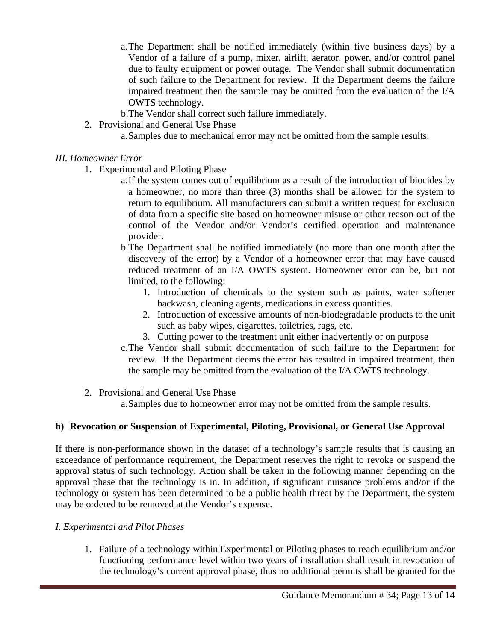- a.The Department shall be notified immediately (within five business days) by a Vendor of a failure of a pump, mixer, airlift, aerator, power, and/or control panel due to faulty equipment or power outage. The Vendor shall submit documentation of such failure to the Department for review. If the Department deems the failure impaired treatment then the sample may be omitted from the evaluation of the I/A OWTS technology.
- b.The Vendor shall correct such failure immediately.
- 2. Provisional and General Use Phase
	- a.Samples due to mechanical error may not be omitted from the sample results.

#### *III. Homeowner Error*

- 1. Experimental and Piloting Phase
	- a.If the system comes out of equilibrium as a result of the introduction of biocides by a homeowner, no more than three (3) months shall be allowed for the system to return to equilibrium. All manufacturers can submit a written request for exclusion of data from a specific site based on homeowner misuse or other reason out of the control of the Vendor and/or Vendor's certified operation and maintenance provider.
	- b.The Department shall be notified immediately (no more than one month after the discovery of the error) by a Vendor of a homeowner error that may have caused reduced treatment of an I/A OWTS system. Homeowner error can be, but not limited, to the following:
		- 1. Introduction of chemicals to the system such as paints, water softener backwash, cleaning agents, medications in excess quantities.
		- 2. Introduction of excessive amounts of non-biodegradable products to the unit such as baby wipes, cigarettes, toiletries, rags, etc.
		- 3. Cutting power to the treatment unit either inadvertently or on purpose
	- c.The Vendor shall submit documentation of such failure to the Department for review. If the Department deems the error has resulted in impaired treatment, then the sample may be omitted from the evaluation of the I/A OWTS technology.
- 2. Provisional and General Use Phase

a.Samples due to homeowner error may not be omitted from the sample results.

# **h) Revocation or Suspension of Experimental, Piloting, Provisional, or General Use Approval**

If there is non-performance shown in the dataset of a technology's sample results that is causing an exceedance of performance requirement, the Department reserves the right to revoke or suspend the approval status of such technology. Action shall be taken in the following manner depending on the approval phase that the technology is in. In addition, if significant nuisance problems and/or if the technology or system has been determined to be a public health threat by the Department, the system may be ordered to be removed at the Vendor's expense.

#### *I. Experimental and Pilot Phases*

1. Failure of a technology within Experimental or Piloting phases to reach equilibrium and/or functioning performance level within two years of installation shall result in revocation of the technology's current approval phase, thus no additional permits shall be granted for the